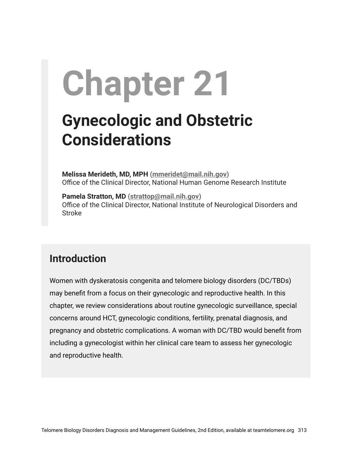# **Chapter 21**

## **Gynecologic and Obstetric Considerations**

**Melissa Merideth, MD, MPH [\(mmeridet@mail.nih.gov](mailto:mmeridet@mail.nih.gov))** Office of the Clinical Director, National Human Genome Research Institute

**Pamela Stratton, MD [\(strattop@mail.nih.gov\)](mailto:strattop@mail.nih.gov)** Office of the Clinical Director, National Institute of Neurological Disorders and Stroke

#### **Introduction**

Women with dyskeratosis congenita and telomere biology disorders (DC/TBDs) may benefit from a focus on their gynecologic and reproductive health. In this chapter, we review considerations about routine gynecologic surveillance, special concerns around HCT, gynecologic conditions, fertility, prenatal diagnosis, and pregnancy and obstetric complications. A woman with DC/TBD would benefit from including a gynecologist within her clinical care team to assess her gynecologic and reproductive health.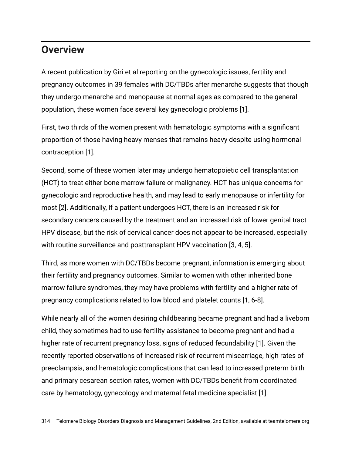#### **Overview**

A recent publication by Giri et al reporting on the gynecologic issues, fertility and pregnancy outcomes in 39 females with DC/TBDs after menarche suggests that though they undergo menarche and menopause at normal ages as compared to the general population, these women face several key gynecologic problems [1].

First, two thirds of the women present with hematologic symptoms with a significant proportion of those having heavy menses that remains heavy despite using hormonal contraception [1].

Second, some of these women later may undergo hematopoietic cell transplantation (HCT) to treat either bone marrow failure or malignancy. HCT has unique concerns for gynecologic and reproductive health, and may lead to early menopause or infertility for most [2]. Additionally, if a patient undergoes HCT, there is an increased risk for secondary cancers caused by the treatment and an increased risk of lower genital tract HPV disease, but the risk of cervical cancer does not appear to be increased, especially with routine surveillance and posttransplant HPV vaccination [3, 4, 5].

Third, as more women with DC/TBDs become pregnant, information is emerging about their fertility and pregnancy outcomes. Similar to women with other inherited bone marrow failure syndromes, they may have problems with fertility and a higher rate of pregnancy complications related to low blood and platelet counts [1, 6-8].

While nearly all of the women desiring childbearing became pregnant and had a liveborn child, they sometimes had to use fertility assistance to become pregnant and had a higher rate of recurrent pregnancy loss, signs of reduced fecundability [1]. Given the recently reported observations of increased risk of recurrent miscarriage, high rates of preeclampsia, and hematologic complications that can lead to increased preterm birth and primary cesarean section rates, women with DC/TBDs benefit from coordinated care by hematology, gynecology and maternal fetal medicine specialist [1].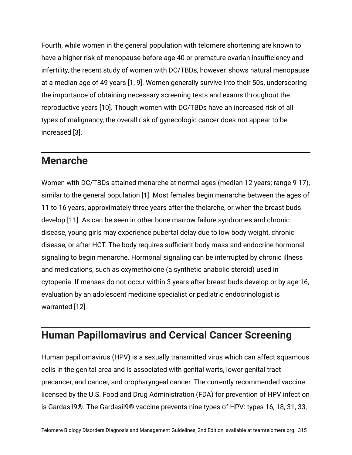Fourth, while women in the general population with telomere shortening are known to have a higher risk of menopause before age 40 or premature ovarian insufficiency and infertility, the recent study of women with DC/TBDs, however, shows natural menopause at a median age of 49 years [1, 9]. Women generally survive into their 50s, underscoring the importance of obtaining necessary screening tests and exams throughout the reproductive years [10]. Though women with DC/TBDs have an increased risk of all types of malignancy, the overall risk of gynecologic cancer does not appear to be increased [3].

#### **Menarche**

Women with DC/TBDs attained menarche at normal ages (median 12 years; range 9-17), similar to the general population [1]. Most females begin menarche between the ages of 11 to 16 years, approximately three years after the thelarche, or when the breast buds develop [11]. As can be seen in other bone marrow failure syndromes and chronic disease, young girls may experience pubertal delay due to low body weight, chronic disease, or after HCT. The body requires sufficient body mass and endocrine hormonal signaling to begin menarche. Hormonal signaling can be interrupted by chronic illness and medications, such as oxymetholone (a synthetic anabolic steroid) used in cytopenia. If menses do not occur within 3 years after breast buds develop or by age 16, evaluation by an adolescent medicine specialist or pediatric endocrinologist is warranted [12].

#### **Human Papillomavirus and Cervical Cancer Screening**

Human papillomavirus (HPV) is a sexually transmitted virus which can affect squamous cells in the genital area and is associated with genital warts, lower genital tract precancer, and cancer, and oropharyngeal cancer. The currently recommended vaccine licensed by the U.S. Food and Drug Administration (FDA) for prevention of HPV infection is Gardasil9®. The Gardasil9® vaccine prevents nine types of HPV: types 16, 18, 31, 33,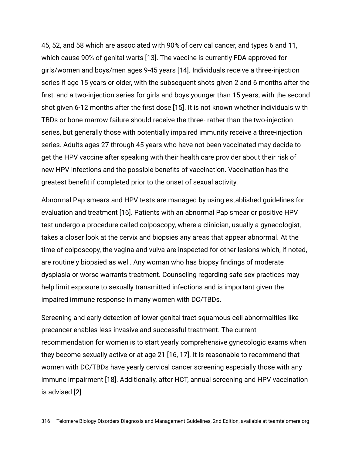45, 52, and 58 which are associated with 90% of cervical cancer, and types 6 and 11, which cause 90% of genital warts [13]. The vaccine is currently FDA approved for girls/women and boys/men ages 9-45 years [14]. Individuals receive a three-injection series if age 15 years or older, with the subsequent shots given 2 and 6 months after the first, and a two-injection series for girls and boys younger than 15 years, with the second shot given 6-12 months after the first dose [15]. It is not known whether individuals with TBDs or bone marrow failure should receive the three- rather than the two-injection series, but generally those with potentially impaired immunity receive a three-injection series. Adults ages 27 through 45 years who have not been vaccinated may decide to get the HPV vaccine after speaking with their health care provider about their risk of new HPV infections and the possible benefits of vaccination. Vaccination has the greatest benefit if completed prior to the onset of sexual activity.

Abnormal Pap smears and HPV tests are managed by using established guidelines for evaluation and treatment [16]. Patients with an abnormal Pap smear or positive HPV test undergo a procedure called colposcopy, where a clinician, usually a gynecologist, takes a closer look at the cervix and biopsies any areas that appear abnormal. At the time of colposcopy, the vagina and vulva are inspected for other lesions which, if noted, are routinely biopsied as well. Any woman who has biopsy findings of moderate dysplasia or worse warrants treatment. Counseling regarding safe sex practices may help limit exposure to sexually transmitted infections and is important given the impaired immune response in many women with DC/TBDs.

Screening and early detection of lower genital tract squamous cell abnormalities like precancer enables less invasive and successful treatment. The current recommendation for women is to start yearly comprehensive gynecologic exams when they become sexually active or at age 21 [16, 17]. It is reasonable to recommend that women with DC/TBDs have yearly cervical cancer screening especially those with any immune impairment [18]. Additionally, after HCT, annual screening and HPV vaccination is advised [2].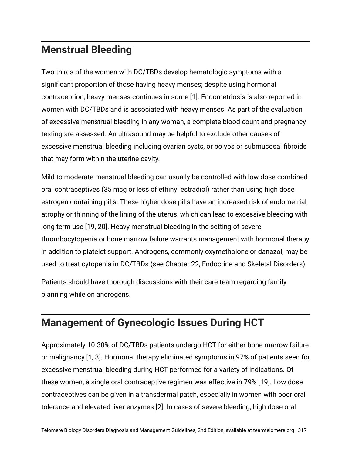#### **Menstrual Bleeding**

Two thirds of the women with DC/TBDs develop hematologic symptoms with a significant proportion of those having heavy menses; despite using hormonal contraception, heavy menses continues in some [1]. Endometriosis is also reported in women with DC/TBDs and is associated with heavy menses. As part of the evaluation of excessive menstrual bleeding in any woman, a complete blood count and pregnancy testing are assessed. An ultrasound may be helpful to exclude other causes of excessive menstrual bleeding including ovarian cysts, or polyps or submucosal fibroids that may form within the uterine cavity.

Mild to moderate menstrual bleeding can usually be controlled with low dose combined oral contraceptives (35 mcg or less of ethinyl estradiol) rather than using high dose estrogen containing pills. These higher dose pills have an increased risk of endometrial atrophy or thinning of the lining of the uterus, which can lead to excessive bleeding with long term use [19, 20]. Heavy menstrual bleeding in the setting of severe thrombocytopenia or bone marrow failure warrants management with hormonal therapy in addition to platelet support. Androgens, commonly oxymetholone or danazol, may be used to treat cytopenia in DC/TBDs (see Chapter 22, Endocrine and Skeletal Disorders).

Patients should have thorough discussions with their care team regarding family planning while on androgens.

#### **Management of Gynecologic Issues During HCT**

Approximately 10-30% of DC/TBDs patients undergo HCT for either bone marrow failure or malignancy [1, 3]. Hormonal therapy eliminated symptoms in 97% of patients seen for excessive menstrual bleeding during HCT performed for a variety of indications. Of these women, a single oral contraceptive regimen was effective in 79% [19]. Low dose contraceptives can be given in a transdermal patch, especially in women with poor oral tolerance and elevated liver enzymes [2]. In cases of severe bleeding, high dose oral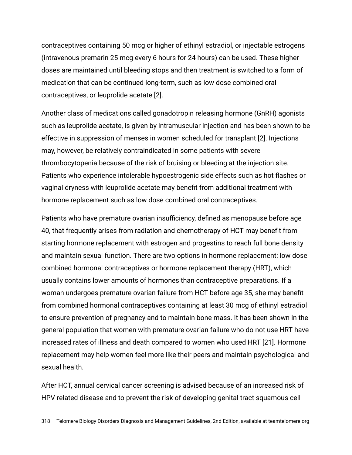contraceptives containing 50 mcg or higher of ethinyl estradiol, or injectable estrogens (intravenous premarin 25 mcg every 6 hours for 24 hours) can be used. These higher doses are maintained until bleeding stops and then treatment is switched to a form of medication that can be continued long-term, such as low dose combined oral contraceptives, or leuprolide acetate [2].

Another class of medications called gonadotropin releasing hormone (GnRH) agonists such as leuprolide acetate, is given by intramuscular injection and has been shown to be effective in suppression of menses in women scheduled for transplant [2]. Injections may, however, be relatively contraindicated in some patients with severe thrombocytopenia because of the risk of bruising or bleeding at the injection site. Patients who experience intolerable hypoestrogenic side effects such as hot flashes or vaginal dryness with leuprolide acetate may benefit from additional treatment with hormone replacement such as low dose combined oral contraceptives.

Patients who have premature ovarian insufficiency, defined as menopause before age 40, that frequently arises from radiation and chemotherapy of HCT may benefit from starting hormone replacement with estrogen and progestins to reach full bone density and maintain sexual function. There are two options in hormone replacement: low dose combined hormonal contraceptives or hormone replacement therapy (HRT), which usually contains lower amounts of hormones than contraceptive preparations. If a woman undergoes premature ovarian failure from HCT before age 35, she may benefit from combined hormonal contraceptives containing at least 30 mcg of ethinyl estradiol to ensure prevention of pregnancy and to maintain bone mass. It has been shown in the general population that women with premature ovarian failure who do not use HRT have increased rates of illness and death compared to women who used HRT [21]. Hormone replacement may help women feel more like their peers and maintain psychological and sexual health.

After HCT, annual cervical cancer screening is advised because of an increased risk of HPV-related disease and to prevent the risk of developing genital tract squamous cell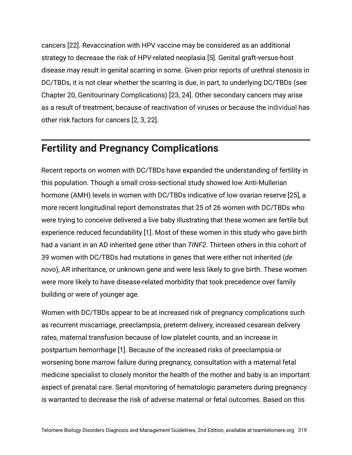cancers [22]. Revaccination with HPV vaccine may be considered as an additional strategy to decrease the risk of HPV-related neoplasia [5]. Genital graft-versus-host disease may result in genital scarring in some. Given prior reports of urethral stenosis in DC/TBDs, it is not clear whether the scarring is due, in part, to underlying DC/TBDs (see Chapter 20, Genitourinary Complications) [23, 24]. Other secondary cancers may arise as a result of treatment, because of reactivation of viruses or because the individual has other risk factors for cancers [2, 3, 22].

#### **Fertility and Pregnancy Complications**

Recent reports on women with DC/TBDs have expanded the understanding of fertility in this population. Though a small cross-sectional study showed low Anti-Mullerian hormone (AMH) levels in women with DC/TBDs indicative of low ovarian reserve [25], a more recent longitudinal report demonstrates that 25 of 26 women with DC/TBDs who were trying to conceive delivered a live baby illustrating that these women are fertile but experience reduced fecundability [1]. Most of these women in this study who gave birth had a variant in an AD inherited gene other than *TINF2*. Thirteen others in this cohort of 39 women with DC/TBDs had mutations in genes that were either not inherited (*de novo*), AR inheritance, or unknown gene and were less likely to give birth. These women were more likely to have disease-related morbidity that took precedence over family building or were of younger age.

Women with DC/TBDs appear to be at increased risk of pregnancy complications such as recurrent miscarriage, preeclampsia, preterm delivery, increased cesarean delivery rates, maternal transfusion because of low platelet counts, and an increase in postpartum hemorrhage [1]. Because of the increased risks of preeclampsia or worsening bone marrow failure during pregnancy, consultation with a maternal fetal medicine specialist to closely monitor the health of the mother and baby is an important aspect of prenatal care. Serial monitoring of hematologic parameters during pregnancy is warranted to decrease the risk of adverse maternal or fetal outcomes. Based on this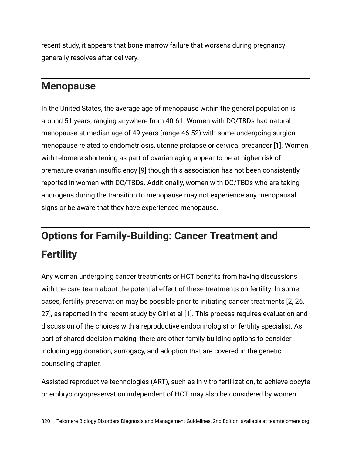recent study, it appears that bone marrow failure that worsens during pregnancy generally resolves after delivery.

#### **Menopause**

In the United States, the average age of menopause within the general population is around 51 years, ranging anywhere from 40-61. Women with DC/TBDs had natural menopause at median age of 49 years (range 46-52) with some undergoing surgical menopause related to endometriosis, uterine prolapse or cervical precancer [1]. Women with telomere shortening as part of ovarian aging appear to be at higher risk of premature ovarian insufficiency [9] though this association has not been consistently reported in women with DC/TBDs. Additionally, women with DC/TBDs who are taking androgens during the transition to menopause may not experience any menopausal signs or be aware that they have experienced menopause.

### **Options for Family-Building: Cancer Treatment and Fertility**

Any woman undergoing cancer treatments or HCT benefits from having discussions with the care team about the potential effect of these treatments on fertility. In some cases, fertility preservation may be possible prior to initiating cancer treatments [2, 26, 27], as reported in the recent study by Giri et al [1]. This process requires evaluation and discussion of the choices with a reproductive endocrinologist or fertility specialist. As part of shared-decision making, there are other family-building options to consider including egg donation, surrogacy, and adoption that are covered in the genetic counseling chapter.

Assisted reproductive technologies (ART), such as in vitro fertilization, to achieve oocyte or embryo cryopreservation independent of HCT, may also be considered by women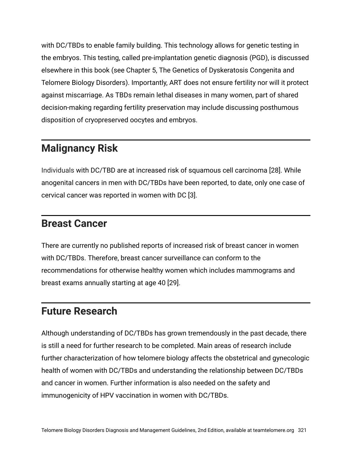with DC/TBDs to enable family building. This technology allows for genetic testing in the embryos. This testing, called pre-implantation genetic diagnosis (PGD), is discussed elsewhere in this book (see Chapter 5, The Genetics of Dyskeratosis Congenita and Telomere Biology Disorders). Importantly, ART does not ensure fertility nor will it protect against miscarriage. As TBDs remain lethal diseases in many women, part of shared decision-making regarding fertility preservation may include discussing posthumous disposition of cryopreserved oocytes and embryos.

#### **Malignancy Risk**

Individuals with DC/TBD are at increased risk of squamous cell carcinoma [28]. While anogenital cancers in men with DC/TBDs have been reported, to date, only one case of cervical cancer was reported in women with DC [3].

#### **Breast Cancer**

There are currently no published reports of increased risk of breast cancer in women with DC/TBDs. Therefore, breast cancer surveillance can conform to the recommendations for otherwise healthy women which includes mammograms and breast exams annually starting at age 40 [29].

#### **Future Research**

Although understanding of DC/TBDs has grown tremendously in the past decade, there is still a need for further research to be completed. Main areas of research include further characterization of how telomere biology affects the obstetrical and gynecologic health of women with DC/TBDs and understanding the relationship between DC/TBDs and cancer in women. Further information is also needed on the safety and immunogenicity of HPV vaccination in women with DC/TBDs.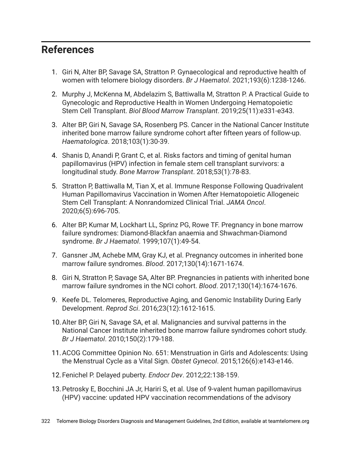#### **References**

- 1. Giri N, Alter BP, Savage SA, Stratton P. Gynaecological and reproductive health of women with telomere biology disorders. *Br J Haematol*. 2021;193(6):1238-1246.
- 2. Murphy J, McKenna M, Abdelazim S, Battiwalla M, Stratton P. A Practical Guide to Gynecologic and Reproductive Health in Women Undergoing Hematopoietic Stem Cell Transplant. *Biol Blood Marrow Transplant*. 2019;25(11):e331-e343.
- 3. Alter BP, Giri N, Savage SA, Rosenberg PS. Cancer in the National Cancer Institute inherited bone marrow failure syndrome cohort after fifteen years of follow-up. *Haematologica*. 2018;103(1):30-39.
- 4. Shanis D, Anandi P, Grant C, et al. Risks factors and timing of genital human papillomavirus (HPV) infection in female stem cell transplant survivors: a longitudinal study. *Bone Marrow Transplant*. 2018;53(1):78-83.
- 5. Stratton P, Battiwalla M, Tian X, et al. Immune Response Following Quadrivalent Human Papillomavirus Vaccination in Women After Hematopoietic Allogeneic Stem Cell Transplant: A Nonrandomized Clinical Trial. *JAMA Oncol*. 2020;6(5):696-705.
- 6. Alter BP, Kumar M, Lockhart LL, Sprinz PG, Rowe TF. Pregnancy in bone marrow failure syndromes: Diamond-Blackfan anaemia and Shwachman-Diamond syndrome. *Br J Haematol*. 1999;107(1):49-54.
- 7. Gansner JM, Achebe MM, Gray KJ, et al. Pregnancy outcomes in inherited bone marrow failure syndromes. *Blood*. 2017;130(14):1671-1674.
- 8. Giri N, Stratton P, Savage SA, Alter BP. Pregnancies in patients with inherited bone marrow failure syndromes in the NCI cohort. *Blood*. 2017;130(14):1674-1676.
- 9. Keefe DL. Telomeres, Reproductive Aging, and Genomic Instability During Early Development. *Reprod Sci*. 2016;23(12):1612-1615.
- 10.Alter BP, Giri N, Savage SA, et al. Malignancies and survival patterns in the National Cancer Institute inherited bone marrow failure syndromes cohort study. *Br J Haematol*. 2010;150(2):179-188.
- 11.ACOG Committee Opinion No. 651: Menstruation in Girls and Adolescents: Using the Menstrual Cycle as a Vital Sign. *Obstet Gynecol*. 2015;126(6):e143-e146.
- 12.Fenichel P. Delayed puberty. *Endocr Dev*. 2012;22:138-159.
- 13.Petrosky E, Bocchini JA Jr, Hariri S, et al. Use of 9-valent human papillomavirus (HPV) vaccine: updated HPV vaccination recommendations of the advisory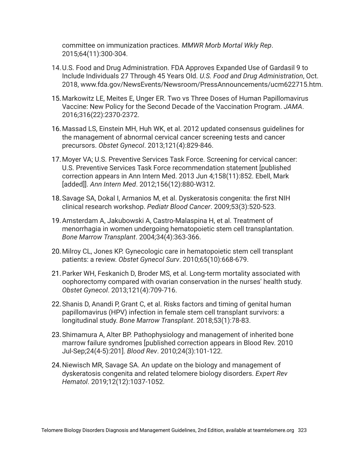committee on immunization practices. *MMWR Morb Mortal Wkly Rep*. 2015;64(11):300-304.

- 14.U.S. Food and Drug Administration. FDA Approves Expanded Use of Gardasil 9 to Include Individuals 27 Through 45 Years Old. *U.S. Food and Drug Administration*, Oct. 2018, www.fda.gov/NewsEvents/Newsroom/PressAnnouncements/ucm622715.htm.
- 15.Markowitz LE, Meites E, Unger ER. Two vs Three Doses of Human Papillomavirus Vaccine: New Policy for the Second Decade of the Vaccination Program. *JAMA*. 2016;316(22):2370-2372.
- 16.Massad LS, Einstein MH, Huh WK, et al. 2012 updated consensus guidelines for the management of abnormal cervical cancer screening tests and cancer precursors. *Obstet Gynecol*. 2013;121(4):829-846.
- 17.Moyer VA; U.S. Preventive Services Task Force. Screening for cervical cancer: U.S. Preventive Services Task Force recommendation statement [published correction appears in Ann Intern Med. 2013 Jun 4;158(11):852. Ebell, Mark [added]]. *Ann Intern Med*. 2012;156(12):880-W312.
- 18.Savage SA, Dokal I, Armanios M, et al. Dyskeratosis congenita: the first NIH clinical research workshop. *Pediatr Blood Cancer*. 2009;53(3):520-523.
- 19.Amsterdam A, Jakubowski A, Castro-Malaspina H, et al. Treatment of menorrhagia in women undergoing hematopoietic stem cell transplantation. *Bone Marrow Transplant*. 2004;34(4):363-366.
- 20.Milroy CL, Jones KP. Gynecologic care in hematopoietic stem cell transplant patients: a review. *Obstet Gynecol Surv*. 2010;65(10):668-679.
- 21.Parker WH, Feskanich D, Broder MS, et al. Long-term mortality associated with oophorectomy compared with ovarian conservation in the nurses' health study. *Obstet Gynecol*. 2013;121(4):709-716.
- 22.Shanis D, Anandi P, Grant C, et al. Risks factors and timing of genital human papillomavirus (HPV) infection in female stem cell transplant survivors: a longitudinal study. *Bone Marrow Transplant*. 2018;53(1):78-83.
- 23.Shimamura A, Alter BP. Pathophysiology and management of inherited bone marrow failure syndromes [published correction appears in Blood Rev. 2010 Jul-Sep;24(4-5):201]. *Blood Rev*. 2010;24(3):101-122.
- 24.Niewisch MR, Savage SA. An update on the biology and management of dyskeratosis congenita and related telomere biology disorders. *Expert Rev Hematol*. 2019;12(12):1037-1052.